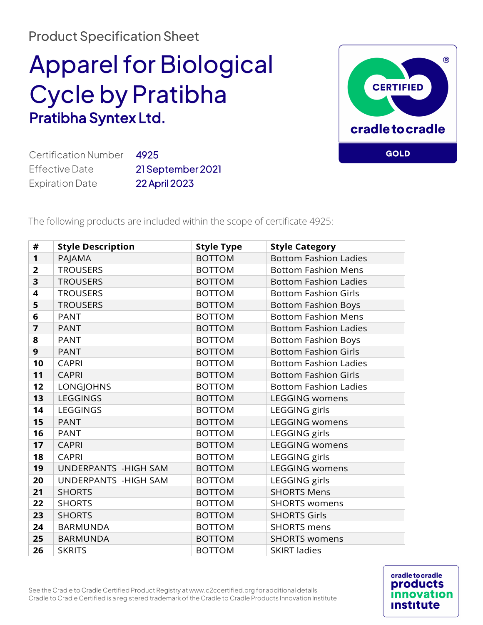## Product Specification Sheet

## Apparel for Biological Cycle by Pratibha Pratibha Syntex Ltd.



Certification Number 4925 Effective Date 21 September 2021 Expiration Date22 April 2023

The following products are included within the scope of certificate 4925:

| #              | <b>Style Description</b> | <b>Style Type</b> | <b>Style Category</b>        |
|----------------|--------------------------|-------------------|------------------------------|
| 1              | PAJAMA                   | <b>BOTTOM</b>     | <b>Bottom Fashion Ladies</b> |
| $\overline{2}$ | <b>TROUSERS</b>          | <b>BOTTOM</b>     | <b>Bottom Fashion Mens</b>   |
| 3              | <b>TROUSERS</b>          | <b>BOTTOM</b>     | <b>Bottom Fashion Ladies</b> |
| 4              | <b>TROUSERS</b>          | <b>BOTTOM</b>     | <b>Bottom Fashion Girls</b>  |
| 5              | <b>TROUSERS</b>          | <b>BOTTOM</b>     | <b>Bottom Fashion Boys</b>   |
| 6              | <b>PANT</b>              | <b>BOTTOM</b>     | <b>Bottom Fashion Mens</b>   |
| $\overline{7}$ | <b>PANT</b>              | <b>BOTTOM</b>     | <b>Bottom Fashion Ladies</b> |
| 8              | <b>PANT</b>              | <b>BOTTOM</b>     | <b>Bottom Fashion Boys</b>   |
| 9              | <b>PANT</b>              | <b>BOTTOM</b>     | <b>Bottom Fashion Girls</b>  |
| 10             | <b>CAPRI</b>             | <b>BOTTOM</b>     | <b>Bottom Fashion Ladies</b> |
| 11             | <b>CAPRI</b>             | <b>BOTTOM</b>     | <b>Bottom Fashion Girls</b>  |
| 12             | <b>LONGJOHNS</b>         | <b>BOTTOM</b>     | <b>Bottom Fashion Ladies</b> |
| 13             | LEGGINGS                 | <b>BOTTOM</b>     | <b>LEGGING womens</b>        |
| 14             | <b>LEGGINGS</b>          | <b>BOTTOM</b>     | LEGGING girls                |
| 15             | <b>PANT</b>              | <b>BOTTOM</b>     | <b>LEGGING womens</b>        |
| 16             | <b>PANT</b>              | <b>BOTTOM</b>     | LEGGING girls                |
| 17             | <b>CAPRI</b>             | <b>BOTTOM</b>     | <b>LEGGING womens</b>        |
| 18             | <b>CAPRI</b>             | <b>BOTTOM</b>     | LEGGING girls                |
| 19             | UNDERPANTS - HIGH SAM    | <b>BOTTOM</b>     | <b>LEGGING womens</b>        |
| 20             | UNDERPANTS - HIGH SAM    | <b>BOTTOM</b>     | LEGGING girls                |
| 21             | <b>SHORTS</b>            | <b>BOTTOM</b>     | <b>SHORTS Mens</b>           |
| 22             | <b>SHORTS</b>            | <b>BOTTOM</b>     | <b>SHORTS womens</b>         |
| 23             | <b>SHORTS</b>            | <b>BOTTOM</b>     | <b>SHORTS Girls</b>          |
| 24             | <b>BARMUNDA</b>          | <b>BOTTOM</b>     | <b>SHORTS</b> mens           |
| 25             | <b>BARMUNDA</b>          | <b>BOTTOM</b>     | <b>SHORTS womens</b>         |
| 26             | <b>SKRITS</b>            | <b>BOTTOM</b>     | <b>SKIRT ladies</b>          |

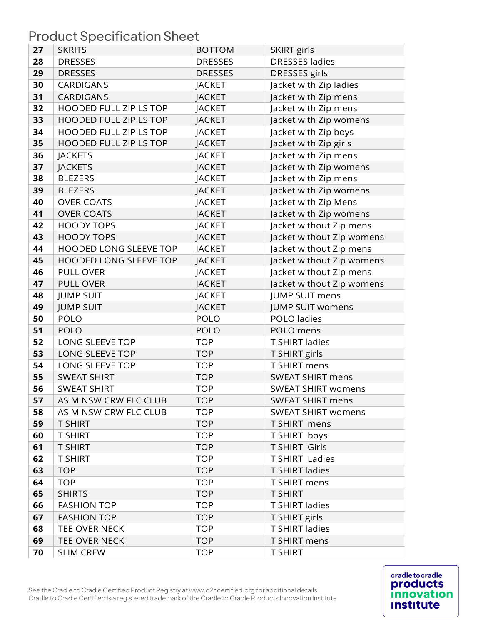Product Specification Sheet

| 27 | <b>SKRITS</b>                 | <b>BOTTOM</b>  | <b>SKIRT</b> girls        |
|----|-------------------------------|----------------|---------------------------|
| 28 | <b>DRESSES</b>                | <b>DRESSES</b> | <b>DRESSES ladies</b>     |
| 29 | <b>DRESSES</b>                | <b>DRESSES</b> | DRESSES girls             |
| 30 | <b>CARDIGANS</b>              | <b>JACKET</b>  | Jacket with Zip ladies    |
| 31 | <b>CARDIGANS</b>              | <b>JACKET</b>  | Jacket with Zip mens      |
| 32 | HOODED FULL ZIP LS TOP        | <b>JACKET</b>  | Jacket with Zip mens      |
| 33 | HOODED FULL ZIP LS TOP        | <b>JACKET</b>  | Jacket with Zip womens    |
| 34 | <b>HOODED FULL ZIP LS TOP</b> | <b>JACKET</b>  | Jacket with Zip boys      |
| 35 | HOODED FULL ZIP LS TOP        | <b>JACKET</b>  | Jacket with Zip girls     |
| 36 | <b>JACKETS</b>                | <b>JACKET</b>  | Jacket with Zip mens      |
| 37 | <b>JACKETS</b>                | <b>JACKET</b>  | Jacket with Zip womens    |
| 38 | <b>BLEZERS</b>                | <b>JACKET</b>  | Jacket with Zip mens      |
| 39 | <b>BLEZERS</b>                | <b>JACKET</b>  | Jacket with Zip womens    |
| 40 | <b>OVER COATS</b>             | <b>JACKET</b>  | Jacket with Zip Mens      |
| 41 | <b>OVER COATS</b>             | <b>JACKET</b>  | Jacket with Zip womens    |
| 42 | <b>HOODY TOPS</b>             | <b>JACKET</b>  | Jacket without Zip mens   |
| 43 | <b>HOODY TOPS</b>             | <b>JACKET</b>  | Jacket without Zip womens |
| 44 | <b>HOODED LONG SLEEVE TOP</b> | <b>JACKET</b>  | Jacket without Zip mens   |
| 45 | <b>HOODED LONG SLEEVE TOP</b> | <b>JACKET</b>  | Jacket without Zip womens |
| 46 | <b>PULL OVER</b>              | <b>JACKET</b>  | Jacket without Zip mens   |
| 47 | <b>PULL OVER</b>              | <b>JACKET</b>  | Jacket without Zip womens |
| 48 | <b>JUMP SUIT</b>              | <b>JACKET</b>  | <b>JUMP SUIT mens</b>     |
| 49 | <b>JUMP SUIT</b>              | <b>JACKET</b>  | <b>JUMP SUIT womens</b>   |
| 50 | POLO                          | POLO           | POLO ladies               |
| 51 | <b>POLO</b>                   | <b>POLO</b>    | POLO mens                 |
| 52 | LONG SLEEVE TOP               | <b>TOP</b>     | <b>T SHIRT ladies</b>     |
| 53 | LONG SLEEVE TOP               | <b>TOP</b>     | T SHIRT girls             |
| 54 | LONG SLEEVE TOP               | <b>TOP</b>     | T SHIRT mens              |
| 55 | <b>SWEAT SHIRT</b>            | <b>TOP</b>     | <b>SWEAT SHIRT mens</b>   |
| 56 | <b>SWEAT SHIRT</b>            | <b>TOP</b>     | <b>SWEAT SHIRT womens</b> |
| 57 | AS M NSW CRW FLC CLUB         | <b>TOP</b>     | <b>SWEAT SHIRT mens</b>   |
| 58 | AS M NSW CRW FLC CLUB         | <b>TOP</b>     | <b>SWEAT SHIRT womens</b> |
| 59 | <b>T SHIRT</b>                | <b>TOP</b>     | T SHIRT mens              |
| 60 | <b>T SHIRT</b>                | <b>TOP</b>     | T SHIRT boys              |
| 61 | <b>T SHIRT</b>                | <b>TOP</b>     | <b>T SHIRT Girls</b>      |
| 62 | <b>T SHIRT</b>                | <b>TOP</b>     | <b>T SHIRT Ladies</b>     |
| 63 | <b>TOP</b>                    | <b>TOP</b>     | <b>T SHIRT ladies</b>     |
| 64 | <b>TOP</b>                    | <b>TOP</b>     | T SHIRT mens              |
| 65 | <b>SHIRTS</b>                 | <b>TOP</b>     | <b>T SHIRT</b>            |
| 66 | <b>FASHION TOP</b>            | <b>TOP</b>     | <b>T SHIRT ladies</b>     |
| 67 | <b>FASHION TOP</b>            | <b>TOP</b>     | T SHIRT girls             |
| 68 | TEE OVER NECK                 | <b>TOP</b>     | T SHIRT ladies            |
| 69 | TEE OVER NECK                 | <b>TOP</b>     | T SHIRT mens              |
| 70 | <b>SLIM CREW</b>              | <b>TOP</b>     | <b>T SHIRT</b>            |

See the Cradle to Cradle Certified Product Registry at www.c2ccertified.org for additional details Cradle to Cradle Certified is a registered trademark of the Cradle to Cradle Products Innovation Institute